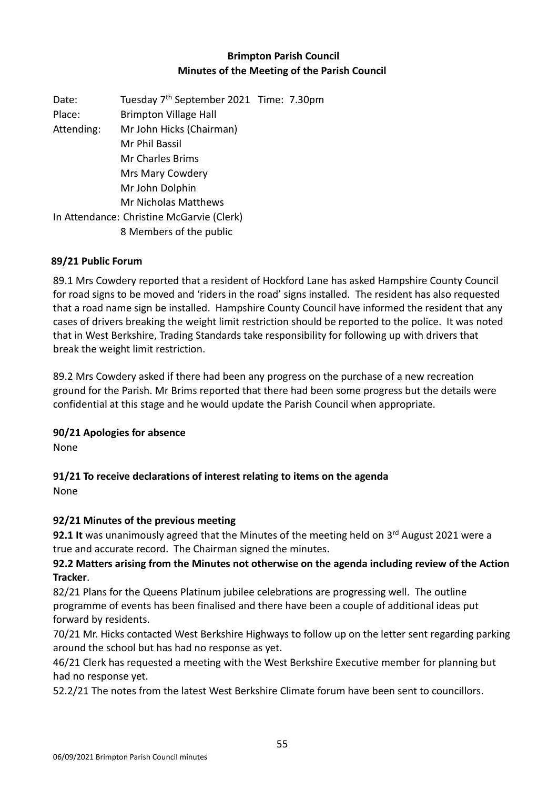## **Brimpton Parish Council Minutes of the Meeting of the Parish Council**

Date: Tuesday 7<sup>th</sup> September 2021 Time: 7.30pm Place: Brimpton Village Hall Attending: Mr John Hicks (Chairman) Mr Phil Bassil Mr Charles Brims Mrs Mary Cowdery Mr John Dolphin Mr Nicholas Matthews In Attendance: Christine McGarvie (Clerk) 8 Members of the public

### **89/21 Public Forum**

89.1 Mrs Cowdery reported that a resident of Hockford Lane has asked Hampshire County Council for road signs to be moved and 'riders in the road' signs installed. The resident has also requested that a road name sign be installed. Hampshire County Council have informed the resident that any cases of drivers breaking the weight limit restriction should be reported to the police. It was noted that in West Berkshire, Trading Standards take responsibility for following up with drivers that break the weight limit restriction.

89.2 Mrs Cowdery asked if there had been any progress on the purchase of a new recreation ground for the Parish. Mr Brims reported that there had been some progress but the details were confidential at this stage and he would update the Parish Council when appropriate.

### **90/21 Apologies for absence**

None

# **91/21 To receive declarations of interest relating to items on the agenda**

None

## **92/21 Minutes of the previous meeting**

**92.1 It** was unanimously agreed that the Minutes of the meeting held on 3<sup>rd</sup> August 2021 were a true and accurate record. The Chairman signed the minutes.

## **92.2 Matters arising from the Minutes not otherwise on the agenda including review of the Action Tracker**.

82/21 Plans for the Queens Platinum jubilee celebrations are progressing well. The outline programme of events has been finalised and there have been a couple of additional ideas put forward by residents.

70/21 Mr. Hicks contacted West Berkshire Highways to follow up on the letter sent regarding parking around the school but has had no response as yet.

46/21 Clerk has requested a meeting with the West Berkshire Executive member for planning but had no response yet.

52.2/21 The notes from the latest West Berkshire Climate forum have been sent to councillors.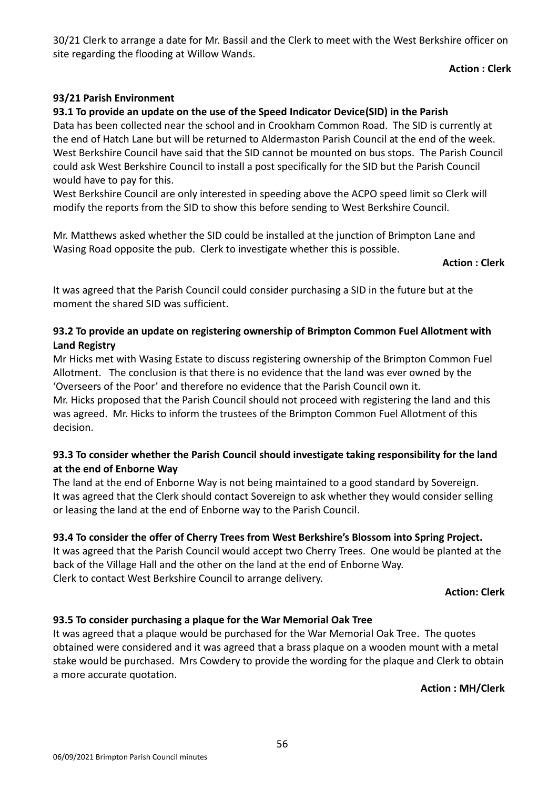30/21 Clerk to arrange a date for Mr. Bassil and the Clerk to meet with the West Berkshire officer on site regarding the flooding at Willow Wands.

### **Action : Clerk**

## **93/21 Parish Environment**

## **93.1 To provide an update on the use of the Speed Indicator Device(SID) in the Parish**

Data has been collected near the school and in Crookham Common Road. The SID is currently at the end of Hatch Lane but will be returned to Aldermaston Parish Council at the end of the week. West Berkshire Council have said that the SID cannot be mounted on bus stops. The Parish Council could ask West Berkshire Council to install a post specifically for the SID but the Parish Council would have to pay for this.

West Berkshire Council are only interested in speeding above the ACPO speed limit so Clerk will modify the reports from the SID to show this before sending to West Berkshire Council.

Mr. Matthews asked whether the SID could be installed at the junction of Brimpton Lane and Wasing Road opposite the pub. Clerk to investigate whether this is possible.

#### **Action : Clerk**

It was agreed that the Parish Council could consider purchasing a SID in the future but at the moment the shared SID was sufficient.

## **93.2 To provide an update on registering ownership of Brimpton Common Fuel Allotment with Land Registry**

Mr Hicks met with Wasing Estate to discuss registering ownership of the Brimpton Common Fuel Allotment. The conclusion is that there is no evidence that the land was ever owned by the 'Overseers of the Poor' and therefore no evidence that the Parish Council own it.

Mr. Hicks proposed that the Parish Council should not proceed with registering the land and this was agreed. Mr. Hicks to inform the trustees of the Brimpton Common Fuel Allotment of this decision.

## **93.3 To consider whether the Parish Council should investigate taking responsibility for the land at the end of Enborne Way**

The land at the end of Enborne Way is not being maintained to a good standard by Sovereign. It was agreed that the Clerk should contact Sovereign to ask whether they would consider selling or leasing the land at the end of Enborne way to the Parish Council.

### **93.4 To consider the offer of Cherry Trees from West Berkshire's Blossom into Spring Project.**

It was agreed that the Parish Council would accept two Cherry Trees. One would be planted at the back of the Village Hall and the other on the land at the end of Enborne Way. Clerk to contact West Berkshire Council to arrange delivery.

**Action: Clerk** 

### **93.5 To consider purchasing a plaque for the War Memorial Oak Tree**

It was agreed that a plaque would be purchased for the War Memorial Oak Tree. The quotes obtained were considered and it was agreed that a brass plaque on a wooden mount with a metal stake would be purchased. Mrs Cowdery to provide the wording for the plaque and Clerk to obtain a more accurate quotation.

**Action : MH/Clerk**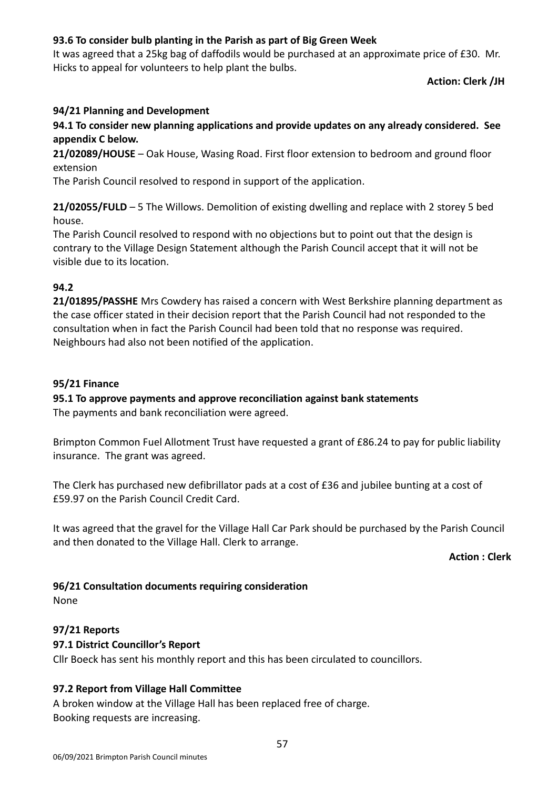## **93.6 To consider bulb planting in the Parish as part of Big Green Week**

It was agreed that a 25kg bag of daffodils would be purchased at an approximate price of £30. Mr. Hicks to appeal for volunteers to help plant the bulbs.

### **Action: Clerk /JH**

### **94/21 Planning and Development**

**94.1 To consider new planning applications and provide updates on any already considered. See appendix C below.**

**21/02089/HOUSE** – Oak House, Wasing Road. First floor extension to bedroom and ground floor extension

The Parish Council resolved to respond in support of the application.

**21/02055/FULD** – 5 The Willows. Demolition of existing dwelling and replace with 2 storey 5 bed house.

The Parish Council resolved to respond with no objections but to point out that the design is contrary to the Village Design Statement although the Parish Council accept that it will not be visible due to its location.

### **94.2**

**21/01895/PASSHE** Mrs Cowdery has raised a concern with West Berkshire planning department as the case officer stated in their decision report that the Parish Council had not responded to the consultation when in fact the Parish Council had been told that no response was required. Neighbours had also not been notified of the application.

### **95/21 Finance**

### **95.1 To approve payments and approve reconciliation against bank statements**

The payments and bank reconciliation were agreed.

Brimpton Common Fuel Allotment Trust have requested a grant of £86.24 to pay for public liability insurance. The grant was agreed.

The Clerk has purchased new defibrillator pads at a cost of £36 and jubilee bunting at a cost of £59.97 on the Parish Council Credit Card.

It was agreed that the gravel for the Village Hall Car Park should be purchased by the Parish Council and then donated to the Village Hall. Clerk to arrange.

**Action : Clerk** 

#### **96/21 Consultation documents requiring consideration**

None

#### **97/21 Reports**

#### **97.1 District Councillor's Report**

Cllr Boeck has sent his monthly report and this has been circulated to councillors.

### **97.2 Report from Village Hall Committee**

A broken window at the Village Hall has been replaced free of charge. Booking requests are increasing.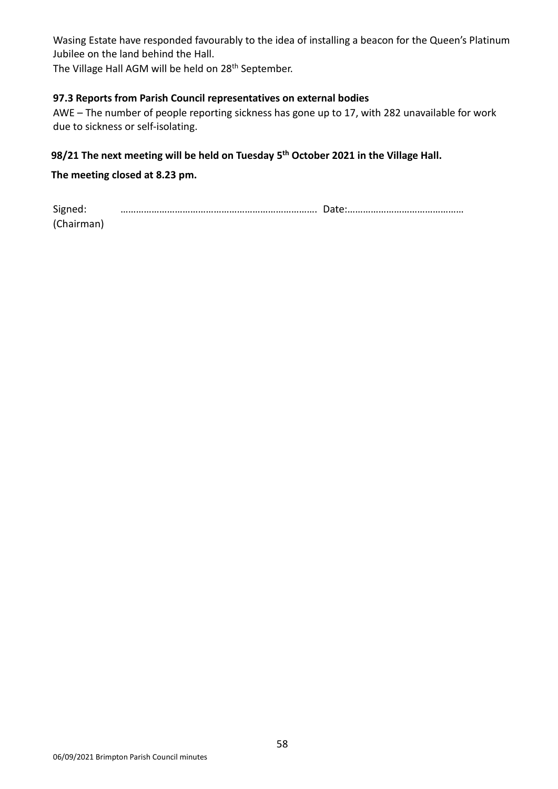Wasing Estate have responded favourably to the idea of installing a beacon for the Queen's Platinum Jubilee on the land behind the Hall.

The Village Hall AGM will be held on 28<sup>th</sup> September.

#### **97.3 Reports from Parish Council representatives on external bodies**

AWE – The number of people reporting sickness has gone up to 17, with 282 unavailable for work due to sickness or self-isolating.

### **98/21 The next meeting will be held on Tuesday 5 th October 2021 in the Village Hall.**

#### **The meeting closed at 8.23 pm.**

| Signed:    |  |
|------------|--|
| (Chairman) |  |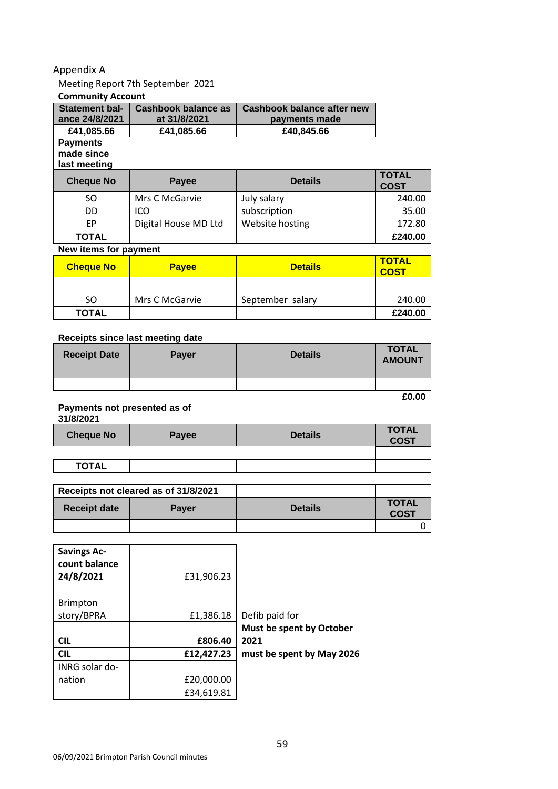#### Appendix A

## Meeting Report 7th September 2021

#### **Community Account**

| <b>Statement bal-</b><br>ance 24/8/2021       | Cashbook balance as<br>Cashbook balance after new<br>at 31/8/2021<br>payments made |                |                             |
|-----------------------------------------------|------------------------------------------------------------------------------------|----------------|-----------------------------|
| £41,085.66                                    | £41,085.66                                                                         | £40,845.66     |                             |
| <b>Payments</b><br>made since<br>last meeting |                                                                                    |                |                             |
|                                               |                                                                                    |                |                             |
| <b>Cheque No</b>                              | Payee                                                                              | <b>Details</b> | <b>TOTAL</b><br><b>COST</b> |
| SO.                                           | Mrs C McGarvie                                                                     | July salary    | 240.00                      |
| DD                                            | ICO                                                                                | subscription   | 35.00                       |

#### **TOTAL £240.00 New items for payment**

| <b>Cheque No</b> | <b>Payee</b>   | <b>Details</b>   | <b>TOTAL</b><br><b>COST</b> |
|------------------|----------------|------------------|-----------------------------|
| SO.              | Mrs C McGarvie | September salary | 240.00                      |
| <b>TOTAL</b>     |                |                  | £240.00                     |

#### **Receipts since last meeting date**

| <b>Receipt Date</b> | <b>Payer</b> | <b>Details</b> | <b>TOTAL</b><br><b>AMOUNT</b> |
|---------------------|--------------|----------------|-------------------------------|
|                     |              |                |                               |
|                     |              |                | £0.00                         |

## **Payments not presented as of**

**31/8/2021**

| <b>Cheque No</b> | Payee | <b>Details</b> | <b>TOTAL</b><br><b>COST</b> |
|------------------|-------|----------------|-----------------------------|
|                  |       |                |                             |
| <b>TOTAL</b>     |       |                |                             |

|                     | Receipts not cleared as of 31/8/2021 |                |                             |
|---------------------|--------------------------------------|----------------|-----------------------------|
| <b>Receipt date</b> | <b>Paver</b>                         | <b>Details</b> | <b>TOTAL</b><br><b>COST</b> |
|                     |                                      |                |                             |

| <b>Savings Ac-</b><br>count balance |            |                           |
|-------------------------------------|------------|---------------------------|
| 24/8/2021                           | £31,906.23 |                           |
|                                     |            |                           |
| <b>Brimpton</b>                     |            |                           |
| story/BPRA                          | £1,386.18  | Defib paid for            |
|                                     |            | Must be spent by October  |
| <b>CIL</b>                          | £806.40    | 2021                      |
| <b>CIL</b>                          | £12,427.23 | must be spent by May 2026 |
| INRG solar do-                      |            |                           |
| nation                              | £20,000.00 |                           |
|                                     | £34,619.81 |                           |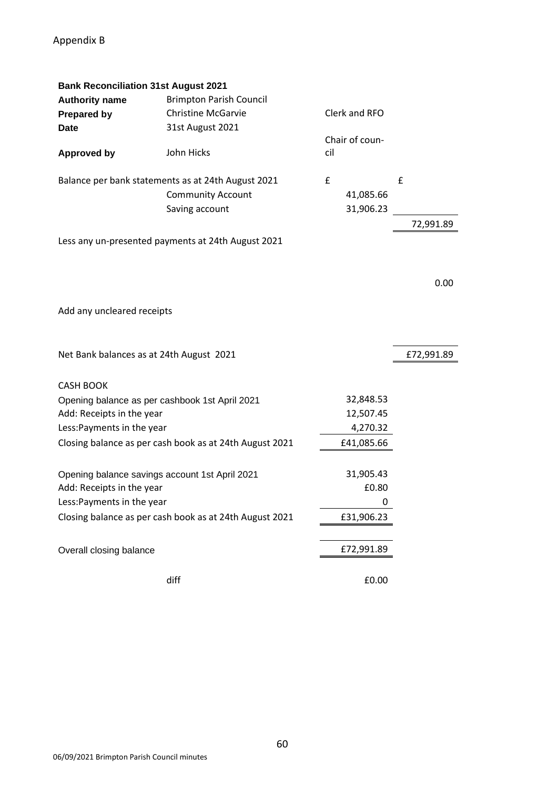| <b>Bank Reconciliation 31st August 2021</b>    |                                                         |     |                |            |
|------------------------------------------------|---------------------------------------------------------|-----|----------------|------------|
| <b>Authority name</b>                          | <b>Brimpton Parish Council</b>                          |     |                |            |
| <b>Prepared by</b>                             | <b>Christine McGarvie</b>                               |     | Clerk and RFO  |            |
| <b>Date</b>                                    | 31st August 2021                                        |     |                |            |
|                                                |                                                         |     | Chair of coun- |            |
| <b>Approved by</b>                             | John Hicks                                              | cil |                |            |
|                                                | Balance per bank statements as at 24th August 2021      | £   |                | £          |
|                                                | <b>Community Account</b>                                |     | 41,085.66      |            |
|                                                |                                                         |     |                |            |
|                                                | Saving account                                          |     | 31,906.23      |            |
|                                                |                                                         |     |                | 72,991.89  |
|                                                | Less any un-presented payments at 24th August 2021      |     |                |            |
|                                                |                                                         |     |                |            |
|                                                |                                                         |     |                |            |
|                                                |                                                         |     |                | 0.00       |
|                                                |                                                         |     |                |            |
| Add any uncleared receipts                     |                                                         |     |                |            |
|                                                |                                                         |     |                |            |
|                                                |                                                         |     |                |            |
| Net Bank balances as at 24th August 2021       |                                                         |     |                | £72,991.89 |
|                                                |                                                         |     |                |            |
| <b>CASH BOOK</b>                               |                                                         |     |                |            |
| Opening balance as per cashbook 1st April 2021 |                                                         |     | 32,848.53      |            |
| Add: Receipts in the year                      |                                                         |     | 12,507.45      |            |
| Less: Payments in the year                     |                                                         |     | 4,270.32       |            |
|                                                | Closing balance as per cash book as at 24th August 2021 |     | £41,085.66     |            |
|                                                |                                                         |     |                |            |
| Opening balance savings account 1st April 2021 |                                                         |     | 31,905.43      |            |
| Add: Receipts in the year                      |                                                         |     | £0.80          |            |
| Less: Payments in the year                     |                                                         |     | 0              |            |
|                                                | Closing balance as per cash book as at 24th August 2021 |     | £31,906.23     |            |
|                                                |                                                         |     |                |            |
|                                                |                                                         |     |                |            |
| Overall closing balance                        |                                                         |     | £72,991.89     |            |
|                                                | diff                                                    |     |                |            |
|                                                |                                                         |     | £0.00          |            |